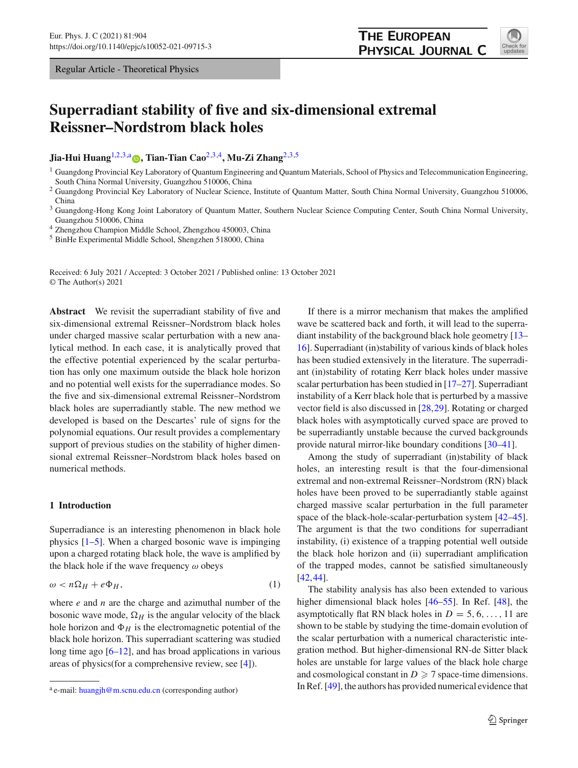Regular Article - Theoretical Physics

# **Superradiant stability of five and six-dimensional extremal Reissner–Nordstrom black holes**

**Jia-Hui Huang**[1,2](#page-0-0)[,3,](#page-0-1)a **[,](http://orcid.org/0000-0002-4394-5472) Tian-Tian Cao**[2](#page-0-0)[,3](#page-0-1)[,4](#page-0-2)**, Mu-Zi Zhang**[2](#page-0-0)[,3](#page-0-1)[,5](#page-0-3)

<span id="page-0-1"></span><sup>2</sup> Guangdong Provincial Key Laboratory of Nuclear Science, Institute of Quantum Matter, South China Normal University, Guangzhou 510006, China

<span id="page-0-2"></span><sup>3</sup> Guangdong-Hong Kong Joint Laboratory of Quantum Matter, Southern Nuclear Science Computing Center, South China Normal University, Guangzhou 510006, China

<sup>4</sup> Zhengzhou Champion Middle School, Zhengzhou 450003, China

<sup>5</sup> BinHe Experimental Middle School, Shengzhen 518000, China

Received: 6 July 2021 / Accepted: 3 October 2021 / Published online: 13 October 2021 © The Author(s) 2021

**Abstract** We revisit the superradiant stability of five and six-dimensional extremal Reissner–Nordstrom black holes under charged massive scalar perturbation with a new analytical method. In each case, it is analytically proved that the effective potential experienced by the scalar perturbation has only one maximum outside the black hole horizon and no potential well exists for the superradiance modes. So the five and six-dimensional extremal Reissner–Nordstrom black holes are superradiantly stable. The new method we developed is based on the Descartes' rule of signs for the polynomial equations. Our result provides a complementary support of previous studies on the stability of higher dimensional extremal Reissner–Nordstrom black holes based on numerical methods.

# **1 Introduction**

Superradiance is an interesting phenomenon in black hole physics [\[1](#page-7-0)[–5](#page-7-1)]. When a charged bosonic wave is impinging upon a charged rotating black hole, the wave is amplified by the black hole if the wave frequency  $\omega$  obeys

$$
\omega < n\Omega_H + e\Phi_H,\tag{1}
$$

where *e* and *n* are the charge and azimuthal number of the bosonic wave mode,  $\Omega_H$  is the angular velocity of the black hole horizon and  $\Phi_H$  is the electromagnetic potential of the black hole horizon. This superradiant scattering was studied long time ago  $[6–12]$  $[6–12]$  $[6–12]$ , and has broad applications in various areas of physics(for a comprehensive review, see [\[4\]](#page-7-4)).

<span id="page-0-3"></span><span id="page-0-0"></span>If there is a mirror mechanism that makes the amplified wave be scattered back and forth, it will lead to the superradiant instability of the background black hole geometry [\[13](#page-7-5)– [16](#page-7-6)]. Superradiant (in)stability of various kinds of black holes has been studied extensively in the literature. The superradiant (in)stability of rotating Kerr black holes under massive scalar perturbation has been studied in [\[17](#page-7-7)[–27\]](#page-7-8). Superradiant instability of a Kerr black hole that is perturbed by a massive vector field is also discussed in [\[28](#page-7-9),[29\]](#page-7-10). Rotating or charged black holes with asymptotically curved space are proved to be superradiantly unstable because the curved backgrounds provide natural mirror-like boundary conditions [\[30](#page-7-11)[–41](#page-8-0)].

Among the study of superradiant (in)stability of black holes, an interesting result is that the four-dimensional extremal and non-extremal Reissner–Nordstrom (RN) black holes have been proved to be superradiantly stable against charged massive scalar perturbation in the full parameter space of the black-hole-scalar-perturbation system [\[42](#page-8-1)[–45](#page-8-2)]. The argument is that the two conditions for superradiant instability, (i) existence of a trapping potential well outside the black hole horizon and (ii) superradiant amplification of the trapped modes, cannot be satisfied simultaneously [\[42](#page-8-1),[44\]](#page-8-3).

The stability analysis has also been extended to various higher dimensional black holes [\[46](#page-8-4)[–55\]](#page-8-5). In Ref. [\[48](#page-8-6)], the asymptotically flat RN black holes in  $D = 5, 6, \ldots, 11$  are shown to be stable by studying the time-domain evolution of the scalar perturbation with a numerical characteristic integration method. But higher-dimensional RN-de Sitter black holes are unstable for large values of the black hole charge and cosmological constant in  $D \ge 7$  space-time dimensions. In Ref. [\[49\]](#page-8-7), the authors has provided numerical evidence that



<sup>&</sup>lt;sup>1</sup> Guangdong Provincial Key Laboratory of Quantum Engineering and Quantum Materials, School of Physics and Telecommunication Engineering, South China Normal University, Guangzhou 510006, China

a e-mail: [huangjh@m.scnu.edu.cn](mailto:huangjh@m.scnu.edu.cn) (corresponding author)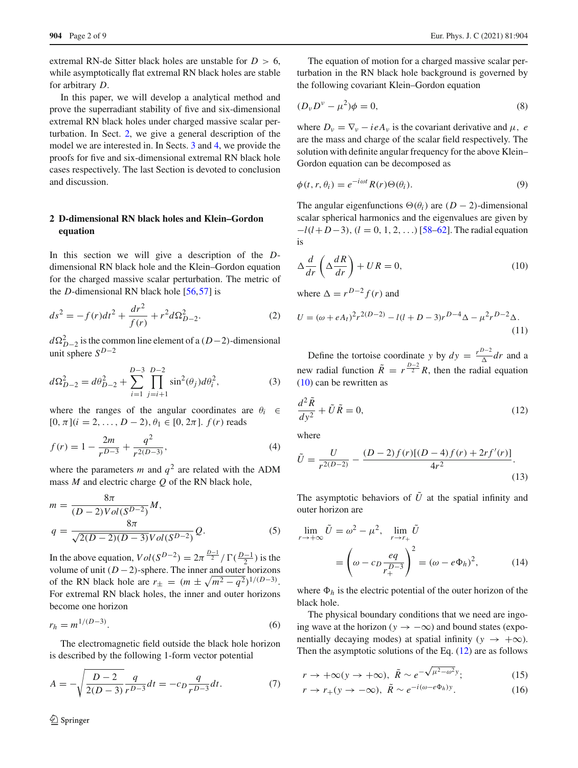extremal RN-de Sitter black holes are unstable for  $D > 6$ , while asymptotically flat extremal RN black holes are stable for arbitrary *D*.

In this paper, we will develop a analytical method and prove the superradiant stability of five and six-dimensional extremal RN black holes under charged massive scalar perturbation. In Sect. [2,](#page-1-0) we give a general description of the model we are interested in. In Sects. [3](#page-2-0) and [4,](#page-4-0) we provide the proofs for five and six-dimensional extremal RN black hole cases respectively. The last Section is devoted to conclusion and discussion.

# <span id="page-1-0"></span>**2 D-dimensional RN black holes and Klein–Gordon equation**

In this section we will give a description of the *D*dimensional RN black hole and the Klein–Gordon equation for the charged massive scalar perturbation. The metric of the *D*-dimensional RN black hole [\[56](#page-8-8)[,57](#page-8-9)] is

$$
ds^{2} = -f(r)dt^{2} + \frac{dr^{2}}{f(r)} + r^{2}d\Omega_{D-2}^{2}.
$$
 (2)

 $d\Omega_{D-2}^2$  is the common line element of a (*D*−2)-dimensional unit sphere  $S^{D-2}$ 

$$
d\Omega_{D-2}^2 = d\theta_{D-2}^2 + \sum_{i=1}^{D-3} \prod_{j=i+1}^{D-2} \sin^2(\theta_j) d\theta_i^2,
$$
 (3)

where the ranges of the angular coordinates are  $\theta_i \in$  $[0, \pi]$  $(i = 2, \ldots, D - 2), \theta_1 \in [0, 2\pi]$ .  $f(r)$  reads

$$
f(r) = 1 - \frac{2m}{r^{D-3}} + \frac{q^2}{r^{2(D-3)}},\tag{4}
$$

where the parameters *m* and  $q^2$  are related with the ADM mass *M* and electric charge *Q* of the RN black hole,

$$
m = \frac{8\pi}{(D-2)Vol(S^{D-2})} M,
$$
  
\n
$$
q = \frac{8\pi}{\sqrt{2(D-2)(D-3)}Vol(S^{D-2})} Q.
$$
\n(5)

In the above equation,  $Vol(S^{D-2}) = 2\pi^{\frac{D-1}{2}} / \Gamma(\frac{D-1}{2})$  is the volume of unit  $(D-2)$ -sphere. The inner and outer horizons of the RN black hole are  $r_{\pm} = (m \pm \sqrt{m^2 - q^2})^{1/(D-3)}$ . For extremal RN black holes, the inner and outer horizons become one horizon

$$
r_h = m^{1/(D-3)}.
$$
 (6)

The electromagnetic field outside the black hole horizon is described by the following 1-form vector potential

$$
A = -\sqrt{\frac{D-2}{2(D-3)}} \frac{q}{r^{D-3}} dt = -c_D \frac{q}{r^{D-3}} dt.
$$
 (7)

The equation of motion for a charged massive scalar perturbation in the RN black hole background is governed by the following covariant Klein–Gordon equation

$$
(D_{\nu}D^{\nu}-\mu^2)\phi=0,
$$
\n(8)

where  $D_v = \nabla_v - ieA_v$  is the covariant derivative and  $\mu$ , *e* are the mass and charge of the scalar field respectively. The solution with definite angular frequency for the above Klein– Gordon equation can be decomposed as

$$
\phi(t, r, \theta_i) = e^{-i\omega t} R(r) \Theta(\theta_i). \tag{9}
$$

The angular eigenfunctions  $\Theta(\theta_i)$  are  $(D-2)$ -dimensional scalar spherical harmonics and the eigenvalues are given by −*l*(*l*+ *D*−3), (*l* = 0, 1, 2, . . .)[\[58](#page-8-10)[–62\]](#page-8-11). The radial equation is

<span id="page-1-1"></span>
$$
\Delta \frac{d}{dr} \left( \Delta \frac{dR}{dr} \right) + UR = 0, \tag{10}
$$

where  $\Delta = r^{D-2} f(r)$  and

$$
U = (\omega + eA_t)^2 r^{2(D-2)} - l(l+D-3)r^{D-4}\Delta - \mu^2 r^{D-2}\Delta.
$$
\n(11)

Define the tortoise coordinate *y* by  $dy = \frac{r^{D-2}}{\Delta} dr$  and a new radial function  $\tilde{R} = r^{\frac{D-2}{2}} R$ , then the radial equation [\(10\)](#page-1-1) can be rewritten as

<span id="page-1-2"></span>
$$
\frac{d^2\tilde{R}}{dy^2} + \tilde{U}\tilde{R} = 0,\tag{12}
$$

where

$$
\tilde{U} = \frac{U}{r^{2(D-2)}} - \frac{(D-2)f(r)[(D-4)f(r) + 2rf'(r)]}{4r^2}.
$$
\n(13)

The asymptotic behaviors of  $\tilde{U}$  at the spatial infinity and outer horizon are

$$
\lim_{r \to +\infty} \tilde{U} = \omega^2 - \mu^2, \quad \lim_{r \to r_+} \tilde{U}
$$

$$
= \left(\omega - c_D \frac{eq}{r_+^{D-3}}\right)^2 = \left(\omega - e\Phi_h\right)^2, \tag{14}
$$

where  $\Phi_h$  is the electric potential of the outer horizon of the black hole.

The physical boundary conditions that we need are ingoing wave at the horizon ( $y \rightarrow -\infty$ ) and bound states (exponentially decaying modes) at spatial infinity ( $y \rightarrow +\infty$ ). Then the asymptotic solutions of the Eq.  $(12)$  are as follows

$$
r \to +\infty (y \to +\infty), \ \tilde{R} \sim e^{-\sqrt{\mu^2 - \omega^2} y}; \tag{15}
$$

$$
r \to r_+(y \to -\infty), \ \tilde{R} \sim e^{-i(\omega - e\Phi_h)y}.\tag{16}
$$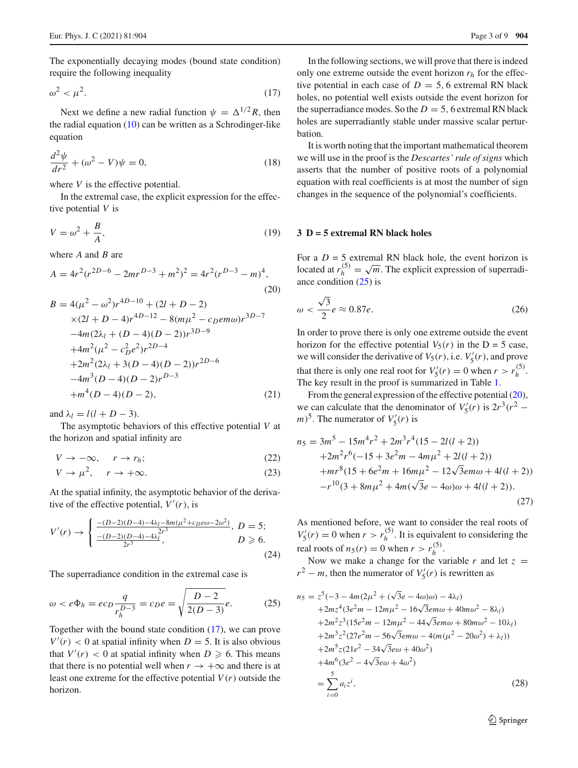The exponentially decaying modes (bound state condition) require the following inequality

<span id="page-2-1"></span>
$$
\omega^2 < \mu^2. \tag{17}
$$

Next we define a new radial function  $\psi = \Delta^{1/2} R$ , then the radial equation  $(10)$  can be written as a Schrodinger-like equation

$$
\frac{d^2\psi}{dr^2} + (\omega^2 - V)\psi = 0,\tag{18}
$$

where *V* is the effective potential.

In the extremal case, the explicit expression for the effective potential *V* is

$$
V = \omega^2 + \frac{B}{A},\tag{19}
$$

where *A* and *B* are

<span id="page-2-3"></span>
$$
A = 4r^2(r^{2D-6} - 2mr^{D-3} + m^2)^2 = 4r^2(r^{D-3} - m)^4,
$$
\n(20)  
\n
$$
B = 4(\mu^2 - \omega^2)r^{4D-10} + (2l + D - 2)
$$
\n
$$
\times (2l + D - 4)r^{4D-12} - 8(m\mu^2 - c_0\mu\omega)r^{3D-7}
$$

$$
-4m(2\lambda_l + (D-4)(D-2))r^{3D-9}
$$
  
+4m<sup>2</sup>( $\mu^2$  -  $c_D^2 e^2$ ) $r^{2D-4}$   
+2m<sup>2</sup>(2 $\lambda_l$  + 3(D-4)(D-2)) $r^{2D-6}$   
-4m<sup>3</sup>(D-4)(D-2) $r^{D-3}$   
+m<sup>4</sup>(D-4)(D-2), (21)

and  $\lambda_l = l(l + D - 3)$ .

The asymptotic behaviors of this effective potential *V* at the horizon and spatial infinity are

$$
V \to -\infty, \quad r \to r_h; \tag{22}
$$

$$
V \to \mu^2, \quad r \to +\infty. \tag{23}
$$

At the spatial infinity, the asymptotic behavior of the derivative of the effective potential,  $V'(r)$ , is

<span id="page-2-4"></span>
$$
V'(r) \rightarrow \begin{cases} \frac{-(D-2)(D-4)-4\lambda_l - 8m(\mu^2 + c_D e\omega - 2\omega^2)}{2\mu^2}, \ D = 5; \\ \frac{-(D-2)(D-4)-4\lambda_l^{2r^3}}{2r^3}, \ D \ge 6. \end{cases}
$$
(24)

The superradiance condition in the extremal case is

<span id="page-2-2"></span>
$$
\omega < e\Phi_h = e c_D \frac{q}{r_h^{D-3}} = c_D e = \sqrt{\frac{D-2}{2(D-3)}} e.
$$
 (25)

Together with the bound state condition [\(17\)](#page-2-1), we can prove  $V'(r)$  < 0 at spatial infinity when *D* = 5. It is also obvious that  $V'(r) < 0$  at spatial infinity when  $D \ge 6$ . This means that there is no potential well when  $r \to +\infty$  and there is at least one extreme for the effective potential  $V(r)$  outside the horizon.

In the following sections, we will prove that there is indeed only one extreme outside the event horizon  $r_h$  for the effective potential in each case of  $D = 5$ , 6 extremal RN black holes, no potential well exists outside the event horizon for the superradiance modes. So the  $D = 5$ , 6 extremal RN black holes are superradiantly stable under massive scalar perturbation.

It is worth noting that the important mathematical theorem we will use in the proof is the *Descartes' rule of signs* which asserts that the number of positive roots of a polynomial equation with real coefficients is at most the number of sign changes in the sequence of the polynomial's coefficients.

### <span id="page-2-0"></span>**3 D = 5 extremal RN black holes**

For a  $D = 5$  extremal RN black hole, the event horizon is located at  $r_h^{(5)} = \sqrt{m}$ . The explicit expression of superradiance condition [\(25\)](#page-2-2) is

$$
\omega < \frac{\sqrt{3}}{2}e \approx 0.87e. \tag{26}
$$

In order to prove there is only one extreme outside the event horizon for the effective potential  $V_5(r)$  in the D = 5 case, we will consider the derivative of  $V_5(r)$ , i.e.  $V'_5(r)$ , and prove that there is only one real root for  $V'_5(r) = 0$  when  $r > r_h^{(5)}$ . The key result in the proof is summarized in Table [1.](#page-3-0)

From the general expression of the effective potential [\(20\)](#page-2-3), we can calculate that the denominator of  $V'_5(r)$  is  $2r^3(r^2 (m)^5$ . The numerator of  $V'_5(r)$  is

$$
n_5 = 3m^5 - 15m^4r^2 + 2m^3r^4(15 - 2l(l+2))
$$
  
+2m<sup>2</sup>r<sup>6</sup>(-15 + 3e<sup>2</sup>m - 4m $\mu$ <sup>2</sup> + 2l(l+2))  
+mr<sup>8</sup>(15 + 6e<sup>2</sup>m + 16m $\mu$ <sup>2</sup> - 12 $\sqrt{3}$ em $\omega$  + 4l(l+2))  
-r<sup>10</sup>(3 + 8m $\mu$ <sup>2</sup> + 4m( $\sqrt{3}$ e - 4 $\omega$ ) $\omega$  + 4l(l+2)). (27)

As mentioned before, we want to consider the real roots of  $V_5'(r) = 0$  when  $r > r_h^{(5)}$ . It is equivalent to considering the real roots of  $n_5(r) = 0$  when  $r > r_h^{(5)}$ .

Now we make a change for the variable  $r$  and let  $z =$  $r^2 - m$ , then the numerator of  $V'_5(r)$  is rewritten as

$$
n_5 = z^5(-3 - 4m(2\mu^2 + (\sqrt{3}e - 4\omega)\omega) - 4\lambda_l)
$$
  
+2mz<sup>4</sup>(3e<sup>2</sup>m - 12m\mu<sup>2</sup> - 16\sqrt{3}emo + 40m\omega<sup>2</sup> - 8\lambda\_l)  
+2m<sup>2</sup>z<sup>3</sup>(15e<sup>2</sup>m - 12m\mu<sup>2</sup> - 44\sqrt{3}emo + 80mo<sup>2</sup> - 10\lambda\_l)  
+2m<sup>3</sup>z<sup>2</sup>(27e<sup>2</sup>m - 56\sqrt{3}emo - 4(m(\mu<sup>2</sup> - 20\omega<sup>2</sup>) + \lambda\_l))  
+2m<sup>5</sup>z(21e<sup>2</sup> - 34\sqrt{3}e\omega + 40\omega<sup>2</sup>)  
+4m<sup>6</sup>(3e<sup>2</sup> - 4\sqrt{3}e\omega + 4\omega<sup>2</sup>)  
= 
$$
\sum_{i=0}^{5} a_i z^i,
$$
 (28)

<sup>2</sup> Springer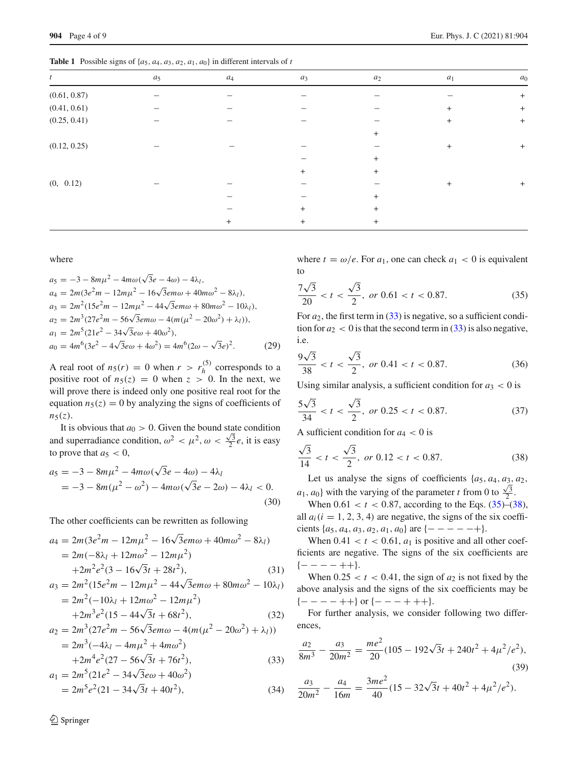<span id="page-3-0"></span>**Table 1** Possible signs of  $\{a_5, a_4, a_3, a_2, a_1, a_0\}$  in different intervals of *t* 

| $\boldsymbol{t}$ | $a_5$ | $\mathfrak{a}_4$ | $a_3$  | $a_2$     | $a_1$ | $a_0$            |
|------------------|-------|------------------|--------|-----------|-------|------------------|
| (0.61, 0.87)     |       |                  |        |           |       | $^{+}$           |
| (0.41, 0.61)     |       |                  |        |           | $+$   | $+$              |
| (0.25, 0.41)     |       |                  |        |           | $+$   | $\boldsymbol{+}$ |
|                  |       |                  |        | $+$       |       |                  |
| (0.12, 0.25)     |       |                  |        |           | $+$   | $+$              |
|                  |       |                  |        | $\ddot{}$ |       |                  |
|                  |       |                  | $^{+}$ | $+$       |       |                  |
| (0, 0.12)        |       |                  |        |           | $+$   | $+$              |
|                  |       |                  |        | $+$       |       |                  |
|                  |       |                  | $^{+}$ | $\ddot{}$ |       |                  |
|                  |       | $^{+}$           | $^{+}$ | $+$       |       |                  |
|                  |       |                  |        |           |       |                  |

where

$$
a_5 = -3 - 8m\mu^2 - 4m\omega(\sqrt{3}e - 4\omega) - 4\lambda_l,
$$
  
\n
$$
a_4 = 2m(3e^2m - 12m\mu^2 - 16\sqrt{3}e^2m\omega + 40m\omega^2 - 8\lambda_l),
$$
  
\n
$$
a_3 = 2m^2(15e^2m - 12m\mu^2 - 44\sqrt{3}e^2m\omega + 80m\omega^2 - 10\lambda_l),
$$
  
\n
$$
a_2 = 2m^3(27e^2m - 56\sqrt{3}e^2m\omega - 4(m(\mu^2 - 20\omega^2) + \lambda_l)),
$$
  
\n
$$
a_1 = 2m^5(21e^2 - 34\sqrt{3}e^2\omega + 40\omega^2),
$$
  
\n
$$
a_0 = 4m^6(3e^2 - 4\sqrt{3}e^2\omega + 4\omega^2) = 4m^6(2\omega - \sqrt{3}e)^2.
$$
 (29)

A real root of  $n_5(r) = 0$  when  $r > r_h^{(5)}$  corresponds to a positive root of  $n_5(z) = 0$  when  $z > 0$ . In the next, we will prove there is indeed only one positive real root for the equation  $n_5(z) = 0$  by analyzing the signs of coefficients of  $n_5(z)$ .

It is obvious that  $a_0 > 0$ . Given the bound state condition and superradiance condition,  $\omega^2 < \mu^2$ ,  $\omega < \frac{\sqrt{3}}{2}e$ , it is easy to prove that  $a_5 < 0$ ,

$$
a_5 = -3 - 8m\mu^2 - 4m\omega(\sqrt{3}e - 4\omega) - 4\lambda_l
$$
  
= -3 - 8m(\mu^2 - \omega^2) - 4m\omega(\sqrt{3}e - 2\omega) - 4\lambda\_l < 0. (30)

The other coefficients can be rewritten as following

<span id="page-3-1"></span>
$$
a_4 = 2m(3e^2m - 12m\mu^2 - 16\sqrt{3}e m\omega + 40m\omega^2 - 8\lambda_1)
$$
  
= 2m(-8\lambda<sub>1</sub> + 12m\omega<sup>2</sup> - 12m\mu<sup>2</sup>)  
+2m<sup>2</sup>e<sup>2</sup>(3 - 16\sqrt{3}t + 28t<sup>2</sup>), (31)

$$
a_3 = 2m^2(15e^2m - 12m\mu^2 - 44\sqrt{3}emo + 80m\omega^2 - 10\lambda_l)
$$
  
=  $2m^2(-10\lambda_l + 12m\omega^2 - 12m\mu^2)$   
+  $2m^3e^2(15 - 44\sqrt{3}t + 68t^2)$ , (32)

$$
a_2 = 2m^3(27e^2m - 56\sqrt{3}em\omega - 4(m(\mu^2 - 20\omega^2) + \lambda_l))
$$
  
= 2m<sup>3</sup>(-4\lambda\_l - 4m\mu^2 + 4m\omega^2)  
+2m<sup>4</sup>e<sup>2</sup>(27 - 56\sqrt{3}t + 76t^2), (33)

$$
a_1 = 2m^5(21e^2 - 34\sqrt{3}e\omega + 40\omega^2)
$$
  
=  $2m^5e^2(21 - 34\sqrt{3}t + 40t^2)$ , (34)

where  $t = \omega/e$ . For  $a_1$ , one can check  $a_1 < 0$  is equivalent to

<span id="page-3-2"></span>
$$
\frac{7\sqrt{3}}{20} < t < \frac{\sqrt{3}}{2}, \text{ or } 0.61 < t < 0.87. \tag{35}
$$

For  $a_2$ , the first term in  $(33)$  is negative, so a sufficient condition for  $a_2 < 0$  is that the second term in [\(33\)](#page-3-1) is also negative, i.e.

$$
\frac{9\sqrt{3}}{38} < t < \frac{\sqrt{3}}{2}, \text{ or } 0.41 < t < 0.87. \tag{36}
$$

Using similar analysis, a sufficient condition for  $a_3 < 0$  is

$$
\frac{5\sqrt{3}}{34} < t < \frac{\sqrt{3}}{2}, \text{ or } 0.25 < t < 0.87. \tag{37}
$$

A sufficient condition for  $a_4 < 0$  is

<span id="page-3-3"></span>
$$
\frac{\sqrt{3}}{14} < t < \frac{\sqrt{3}}{2}, \text{ or } 0.12 < t < 0.87. \tag{38}
$$

Let us analyse the signs of coefficients {*a*5, *a*4, *a*3, *a*2, *a*<sub>1</sub>, *a*<sub>0</sub>} with the varying of the parameter *t* from 0 to  $\frac{\sqrt{3}}{2}$ .

When  $0.61 < t < 0.87$ , according to the Eqs.  $(35)$ – $(38)$ , all  $a_i$  ( $i = 1, 2, 3, 4$ ) are negative, the signs of the six coefficients  $\{a_5, a_4, a_3, a_2, a_1, a_0\}$  are  $\{- - - - +\}.$ 

When  $0.41 < t < 0.61$ ,  $a_1$  is positive and all other coefficients are negative. The signs of the six coefficients are  ${- - - + +}.$ 

When  $0.25 < t < 0.41$ , the sign of  $a_2$  is not fixed by the above analysis and the signs of the six coefficients may be  ${- - - - +}$  or  ${- - - + + +}$ .

For further analysis, we consider following two differences,

$$
\frac{a_2}{8m^3} - \frac{a_3}{20m^2} = \frac{me^2}{20}(105 - 192\sqrt{3}t + 240t^2 + 4\mu^2/e^2),
$$
\n(39)

$$
\frac{a_3}{20m^2} - \frac{a_4}{16m} = \frac{3me^2}{40}(15 - 32\sqrt{3}t + 40t^2 + 4\mu^2/e^2).
$$

 $\mathcal{D}$  Springer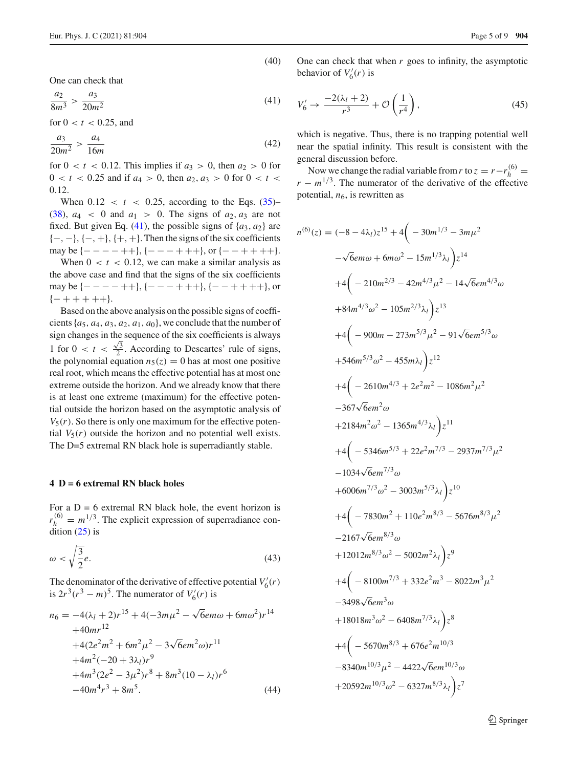(40)

One can check that

<span id="page-4-1"></span>
$$
\frac{a_2}{8m^3} > \frac{a_3}{20m^2} \tag{41}
$$

for  $0 < t < 0.25$ , and

$$
\frac{a_3}{20m^2} > \frac{a_4}{16m} \tag{42}
$$

for  $0 < t < 0.12$ . This implies if  $a_3 > 0$ , then  $a_2 > 0$  for  $0 < t < 0.25$  and if  $a_4 > 0$ , then  $a_2, a_3 > 0$  for  $0 < t <$ 0.12.

When  $0.12 < t < 0.25$ , according to the Eqs.  $(35)$ –  $(38)$ ,  $a_4 < 0$  and  $a_1 > 0$ . The signs of  $a_2$ ,  $a_3$  are not fixed. But given Eq. [\(41\)](#page-4-1), the possible signs of  $\{a_3, a_2\}$  are  $\{-, -\}, \{-, +\}, \{+, +\}.$  Then the signs of the six coefficients may be  $\{----++\}, \{---+++\}, \text{or } \{---++++\}.$ 

When  $0 < t < 0.12$ , we can make a similar analysis as the above case and find that the signs of the six coefficients may be  $\{----++\}, \{---++++\}, \{---++++\},$  ${- + + + + +}.$ 

Based on the above analysis on the possible signs of coefficients  $\{a_5, a_4, a_3, a_2, a_1, a_0\}$ , we conclude that the number of sign changes in the sequence of the six coefficients is always 1 for  $0 < t < \frac{\sqrt{3}}{2}$ . According to Descartes' rule of signs, the polynomial equation  $n_5(z) = 0$  has at most one positive real root, which means the effective potential has at most one extreme outside the horizon. And we already know that there is at least one extreme (maximum) for the effective potential outside the horizon based on the asymptotic analysis of  $V_5(r)$ . So there is only one maximum for the effective potential  $V_5(r)$  outside the horizon and no potential well exists. The D=5 extremal RN black hole is superradiantly stable.

#### <span id="page-4-0"></span>**4 D = 6 extremal RN black holes**

For a  $D = 6$  extremal RN black hole, the event horizon is  $r_h^{(6)} = m^{1/3}$ . The explicit expression of superradiance condition  $(25)$  is

<span id="page-4-3"></span>
$$
\omega < \sqrt{\frac{3}{2}}e.\tag{43}
$$

The denominator of the derivative of effective potential  $V_6'(r)$ is  $2r^3(r^3 - m)^5$ . The numerator of  $V'_6(r)$  is

$$
n_6 = -4(\lambda_l + 2)r^{15} + 4(-3m\mu^2 - \sqrt{6}e m\omega + 6m\omega^2)r^{14}
$$
  
+40mr<sup>12</sup>  
+4(2e<sup>2</sup>m<sup>2</sup> + 6m<sup>2</sup>μ<sup>2</sup> - 3\sqrt{6}em<sup>2</sup>ω)r<sup>11</sup>  
+4m<sup>2</sup>(-20 + 3\lambda\_l)r<sup>9</sup>  
+4m<sup>3</sup>(2e<sup>2</sup> - 3μ<sup>2</sup>)r<sup>8</sup> + 8m<sup>3</sup>(10 - \lambda\_l)r<sup>6</sup>  
-40m<sup>4</sup>r<sup>3</sup> + 8m<sup>5</sup>. (44)

One can check that when *r* goes to infinity, the asymptotic behavior of  $V'_6(r)$  is

<span id="page-4-4"></span>
$$
V_6' \to \frac{-2(\lambda_l + 2)}{r^3} + \mathcal{O}\left(\frac{1}{r^4}\right),\tag{45}
$$

which is negative. Thus, there is no trapping potential well near the spatial infinity. This result is consistent with the general discussion before.

Now we change the radial variable from *r* to  $z = r - r_h^{(6)} =$  $r - m^{1/3}$ . The numerator of the derivative of the effective potential,  $n_6$ , is rewritten as

<span id="page-4-2"></span>
$$
n^{(6)}(z) = (-8 - 4\lambda_l)z^{15} + 4(-30m^{1/3} - 3m\mu^2
$$
  
\n
$$
-\sqrt{6}em\omega + 6m\omega^2 - 15m^{1/3}\lambda_l\Big)z^{14}
$$
  
\n
$$
+4(-210m^{2/3} - 42m^{4/3}\mu^2 - 14\sqrt{6}em^{4/3}\omega
$$
  
\n
$$
+84m^{4/3}\omega^2 - 105m^{2/3}\lambda_l\Big)z^{13}
$$
  
\n
$$
+4(-900m - 273m^{5/3}\mu^2 - 91\sqrt{6}em^{5/3}\omega
$$
  
\n
$$
+546m^{5/3}\omega^2 - 455m\lambda_l\Big)z^{12}
$$
  
\n
$$
+4(-2610m^{4/3} + 2e^2m^2 - 1086m^2\mu^2
$$
  
\n
$$
-367\sqrt{6}em^2\omega
$$
  
\n
$$
+2184m^2\omega^2 - 1365m^{4/3}\lambda_l\Big)z^{11}
$$
  
\n
$$
+4(-5346m^{5/3} + 22e^2m^{7/3} - 2937m^{7/3}\mu^2
$$
  
\n
$$
-1034\sqrt{6}em^{7/3}\omega
$$
  
\n
$$
+6006m^{7/3}\omega^2 - 3003m^{5/3}\lambda_l\Big)z^{10}
$$
  
\n
$$
+4(-7830m^2 + 110e^2m^{8/3} - 5676m^{8/3}\mu^2
$$
  
\n
$$
-2167\sqrt{6}em^{8/3}\omega
$$
  
\n
$$
+12012m^{8/3}\omega^2 - 5002m^2\lambda_l\Big)z^9
$$
  
\n
$$
+4(-8100m^{7/3} + 332e^2m^3 - 8022m^3\mu^2
$$
  
\n
$$
-3498\sqrt{6}em^3\omega
$$
  
\n
$$
+18018m^3\omega^2 - 6408m^{7
$$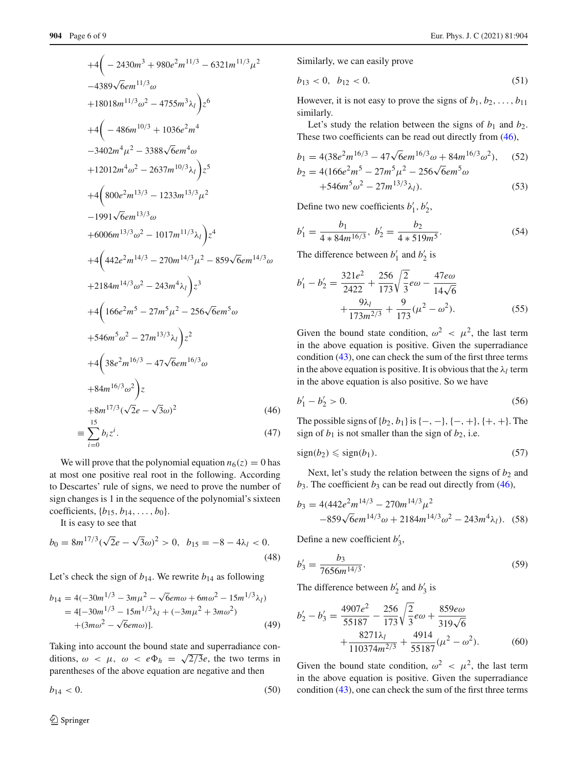$$
+4\left(-2430m^3 + 980e^2m^{11/3} - 6321m^{11/3}\mu^2\right.\n-4389\sqrt{6}em^{11/3}\omega\n+18018m^{11/3}\omega^2 - 4755m^3\lambda_l\right)z^6\n+4\left(-486m^{10/3} + 1036e^2m^4\right.\n-3402m^4\mu^2 - 3388\sqrt{6}em^4\omega\n+12012m^4\omega^2 - 2637m^{10/3}\lambda_l\right)z^5\n+4\left(800e^2m^{13/3} - 1233m^{13/3}\mu^2\right.\n-1991\sqrt{6}em^{13/3}\omega\n+6006m^{13/3}\omega^2 - 1017m^{11/3}\lambda_l\right)z^4\n+4\left(442e^2m^{14/3} - 270m^{14/3}\mu^2 - 859\sqrt{6}em^{14/3}\omega\n+2184m^{14/3}\omega^2 - 243m^4\lambda_l\right)z^3\n+4\left(166e^2m^5 - 27m^5\mu^2 - 256\sqrt{6}em^5\omega\n+546m^5\omega^2 - 27m^{13/3}\lambda_l\right)z^2\n+4\left(38e^2m^{16/3} - 47\sqrt{6}em^{16/3}\omega\n+84m^{16/3}\omega^2\right)z\n+8m^{17/3}(\sqrt{2}e - \sqrt{3}\omega)^2
$$
\n(46)

$$
\equiv \sum_{i=0}^{\infty} b_i z^i. \tag{47}
$$

We will prove that the polynomial equation  $n_6(z) = 0$  has at most one positive real root in the following. According to Descartes' rule of signs, we need to prove the number of sign changes is 1 in the sequence of the polynomial's sixteen coefficients,  $\{b_{15}, b_{14}, \ldots, b_0\}$ .

It is easy to see that

$$
b_0 = 8m^{17/3}(\sqrt{2}e - \sqrt{3}\omega)^2 > 0, \ b_{15} = -8 - 4\lambda_l < 0.
$$
\n(48)

Let's check the sign of  $b_{14}$ . We rewrite  $b_{14}$  as following

$$
b_{14} = 4(-30m^{1/3} - 3m\mu^2 - \sqrt{6}e m\omega + 6m\omega^2 - 15m^{1/3}\lambda_l)
$$
  
= 4[-30m^{1/3} - 15m^{1/3}\lambda\_l + (-3m\mu^2 + 3m\omega^2)  
+(3m\omega^2 - \sqrt{6}e m\omega)]. (49)

Taking into account the bound state and superradiance conditions,  $\omega < \mu$ ,  $\omega < e\Phi_h = \sqrt{2/3}e$ , the two terms in parentheses of the above equation are negative and then

 $b_{14} < 0.$  (50)

Similarly, we can easily prove

$$
b_{13} < 0, \ b_{12} < 0. \tag{51}
$$

However, it is not easy to prove the signs of  $b_1, b_2, \ldots, b_{11}$ similarly.

Let's study the relation between the signs of  $b_1$  and  $b_2$ . These two coefficients can be read out directly from  $(46)$ ,

$$
b_1 = 4(38e^2m^{16/3} - 47\sqrt{6}em^{16/3}\omega + 84m^{16/3}\omega^2),
$$
 (52)  
\n
$$
b_2 = 4(166e^2m^5 - 27m^5\mu^2 - 256\sqrt{6}em^5\omega + 546m^5\omega^2 - 27m^{13/3}\lambda_l).
$$
 (53)

Define two new coefficients  $b'_1$ ,  $b'_2$ ,

$$
b'_1 = \frac{b_1}{4 * 84m^{16/3}}, \ b'_2 = \frac{b_2}{4 * 519m^5}.
$$
 (54)

The difference between  $b'_1$  and  $b'_2$  is

$$
b'_1 - b'_2 = \frac{321e^2}{2422} + \frac{256}{173}\sqrt{\frac{2}{3}}e\omega - \frac{47e\omega}{14\sqrt{6}} + \frac{9\lambda_l}{173m^{2/3}} + \frac{9}{173}(\mu^2 - \omega^2).
$$
 (55)

Given the bound state condition,  $\omega^2$  <  $\mu^2$ , the last term in the above equation is positive. Given the superradiance condition [\(43\)](#page-4-3), one can check the sum of the first three terms in the above equation is positive. It is obvious that the  $\lambda_l$  term in the above equation is also positive. So we have

$$
b_1' - b_2' > 0. \tag{56}
$$

The possible signs of  ${b_2, b_1}$  is  ${-, -}$ ,  ${-, +}$ ,  ${+, +}$ . The sign of  $b_1$  is not smaller than the sign of  $b_2$ , i.e.

<span id="page-5-0"></span>
$$
sign(b_2) \leqslant sign(b_1). \tag{57}
$$

Next, let's study the relation between the signs of  $b_2$  and  $b_3$ . The coefficient  $b_3$  can be read out directly from [\(46\)](#page-4-2),

$$
b_3 = 4(442e^2m^{14/3} - 270m^{14/3}\mu^2 -859\sqrt{6}em^{14/3}\omega + 2184m^{14/3}\omega^2 - 243m^4\lambda_l).
$$
 (58)

Define a new coefficient  $b'_3$ ,

$$
b'_3 = \frac{b_3}{7656m^{14/3}}.\tag{59}
$$

The difference between  $b'_2$  and  $b'_3$  is

$$
b'_2 - b'_3 = \frac{4907e^2}{55187} - \frac{256}{173}\sqrt{\frac{2}{3}}e\omega + \frac{859e\omega}{319\sqrt{6}} + \frac{8271\lambda_l}{110374m^{2/3}} + \frac{4914}{55187}(\mu^2 - \omega^2). \tag{60}
$$

Given the bound state condition,  $\omega^2 < \mu^2$ , the last term in the above equation is positive. Given the superradiance condition [\(43\)](#page-4-3), one can check the sum of the first three terms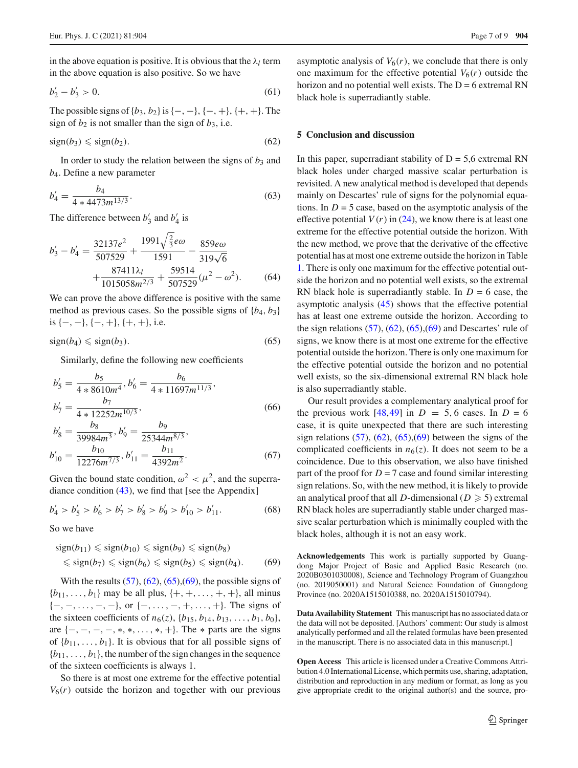in the above equation is positive. It is obvious that the  $\lambda_l$  term in the above equation is also positive. So we have

$$
b'_2 - b'_3 > 0. \tag{61}
$$

The possible signs of  ${b_3, b_2}$  is  ${-, -}$ ,  ${-, +}$ ,  ${+, +}$ . The sign of  $b_2$  is not smaller than the sign of  $b_3$ , i.e.

<span id="page-6-0"></span>
$$
sign(b_3) \leqslant sign(b_2). \tag{62}
$$

In order to study the relation between the signs of  $b_3$  and *b*4. Define a new parameter

$$
b_4' = \frac{b_4}{4 \times 4473 m^{13/3}}.\tag{63}
$$

The difference between  $b'_3$  and  $b'_4$  is

$$
b'_3 - b'_4 = \frac{32137e^2}{507529} + \frac{1991\sqrt{\frac{2}{3}}e\omega}{1591} - \frac{859e\omega}{319\sqrt{6}} + \frac{87411\lambda_l}{1015058m^{2/3}} + \frac{59514}{507529}(\mu^2 - \omega^2). \tag{64}
$$

We can prove the above difference is positive with the same method as previous cases. So the possible signs of  ${b_4, b_3}$ is  $\{-, -\}, \{-, +\}, \{+, +\}, \text{ i.e.}$ 

<span id="page-6-1"></span>
$$
sign(b_4) \leqslant sign(b_3). \tag{65}
$$

Similarly, define the following new coefficients

$$
b'_{5} = \frac{b_{5}}{4 * 8610m^{4}}, b'_{6} = \frac{b_{6}}{4 * 11697m^{11/3}},
$$
  
\n
$$
b'_{7} = \frac{b_{7}}{4 * 12252m^{10/3}},
$$
  
\n
$$
b'_{8} = \frac{b_{8}}{39984m^{3}}, b'_{9} = \frac{b_{9}}{25344m^{8/3}},
$$
  
\n(b)

$$
b'_{10} = \frac{b_{10}}{12276m^{7/3}}, b'_{11} = \frac{b_{11}}{4392m^2}.
$$
 (67)

Given the bound state condition,  $\omega^2 < \mu^2$ , and the superradiance condition  $(43)$ , we find that [see the Appendix]

$$
b'_4 > b'_5 > b'_6 > b'_7 > b'_8 > b'_9 > b'_{10} > b'_{11}.
$$
 (68)

So we have

<span id="page-6-2"></span>
$$
sign(b_{11}) \leq sign(b_{10}) \leq sign(b_9) \leq sign(b_8)
$$
  

$$
\leq sign(b_7) \leq sign(b_6) \leq sign(b_5) \leq sign(b_4).
$$
 (69)

With the results  $(57)$ ,  $(62)$ ,  $(65)$ ,  $(69)$ , the possible signs of  ${b_{11}, \ldots, b_1}$  may be all plus,  ${+, +, \ldots, +, +}$ , all minus  $\{-,-,\ldots,-,-\}$ , or  $\{-,\ldots,-,+, \ldots,+\}$ . The signs of the sixteen coefficients of  $n_6(z)$ ,  $\{b_{15}, b_{14}, b_{13}, \ldots, b_1, b_0\}$ , are  $\{-,-,-,-,*,*,\ldots,*,+\}$ . The  $*$  parts are the signs of  $\{b_{11}, \ldots, b_1\}$ . It is obvious that for all possible signs of  ${b_{11}, \ldots, b_1}$ , the number of the sign changes in the sequence of the sixteen coefficients is always 1.

So there is at most one extreme for the effective potential  $V_6(r)$  outside the horizon and together with our previous

asymptotic analysis of  $V_6(r)$ , we conclude that there is only one maximum for the effective potential  $V_6(r)$  outside the horizon and no potential well exists. The  $D = 6$  extremal RN black hole is superradiantly stable.

#### **5 Conclusion and discussion**

In this paper, superradiant stability of  $D = 5.6$  extremal RN black holes under charged massive scalar perturbation is revisited. A new analytical method is developed that depends mainly on Descartes' rule of signs for the polynomial equations. In  $D = 5$  case, based on the asymptotic analysis of the effective potential  $V(r)$  in [\(24\)](#page-2-4), we know there is at least one extreme for the effective potential outside the horizon. With the new method, we prove that the derivative of the effective potential has at most one extreme outside the horizon in Table [1.](#page-3-0) There is only one maximum for the effective potential outside the horizon and no potential well exists, so the extremal RN black hole is superradiantly stable. In  $D = 6$  case, the asymptotic analysis [\(45\)](#page-4-4) shows that the effective potential has at least one extreme outside the horizon. According to the sign relations  $(57)$ ,  $(62)$ ,  $(65)$ ,  $(69)$  and Descartes' rule of signs, we know there is at most one extreme for the effective potential outside the horizon. There is only one maximum for the effective potential outside the horizon and no potential well exists, so the six-dimensional extremal RN black hole is also superradiantly stable.

Our result provides a complementary analytical proof for the previous work  $[48, 49]$  $[48, 49]$  $[48, 49]$  in  $D = 5, 6$  cases. In  $D = 6$ case, it is quite unexpected that there are such interesting sign relations  $(57)$ ,  $(62)$ ,  $(65)$ ,  $(69)$  between the signs of the complicated coefficients in  $n_6(z)$ . It does not seem to be a coincidence. Due to this observation, we also have finished part of the proof for  $D = 7$  case and found similar interesting sign relations. So, with the new method, it is likely to provide an analytical proof that all *D*-dimensional ( $D \ge 5$ ) extremal RN black holes are superradiantly stable under charged massive scalar perturbation which is minimally coupled with the black holes, although it is not an easy work.

**Acknowledgements** This work is partially supported by Guangdong Major Project of Basic and Applied Basic Research (no. 2020B0301030008), Science and Technology Program of Guangzhou (no. 2019050001) and Natural Science Foundation of Guangdong Province (no. 2020A1515010388, no. 2020A1515010794).

**Data Availability Statement** This manuscript has no associated data or the data will not be deposited. [Authors' comment: Our study is almost analytically performed and all the related formulas have been presented in the manuscript. There is no associated data in this manuscript.]

**Open Access** This article is licensed under a Creative Commons Attribution 4.0 International License, which permits use, sharing, adaptation, distribution and reproduction in any medium or format, as long as you give appropriate credit to the original author(s) and the source, pro-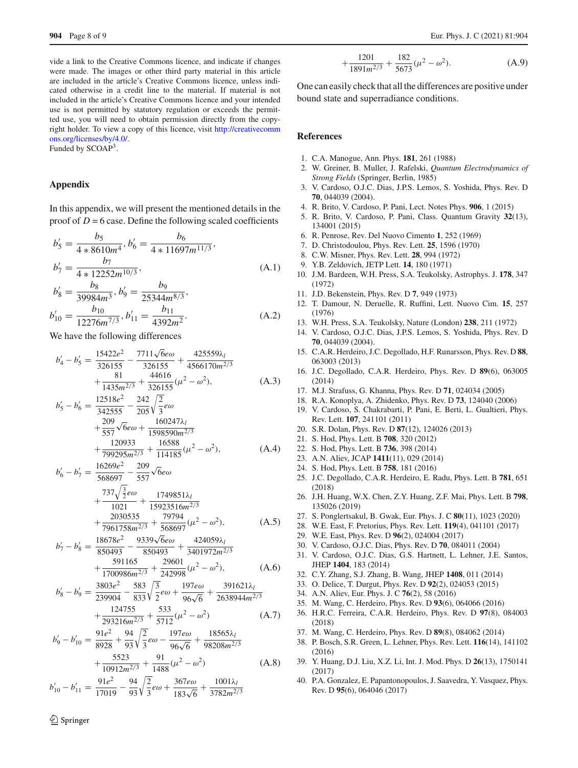vide a link to the Creative Commons licence, and indicate if changes were made. The images or other third party material in this article are included in the article's Creative Commons licence, unless indicated otherwise in a credit line to the material. If material is not included in the article's Creative Commons licence and your intended use is not permitted by statutory regulation or exceeds the permitted use, you will need to obtain permission directly from the copyright holder. To view a copy of this licence, visit [http://creativecomm](http://creativecommons.org/licenses/by/4.0/) [ons.org/licenses/by/4.0/.](http://creativecommons.org/licenses/by/4.0/)

Funded by SCOAP3.

## **Appendix**

In this appendix, we will present the mentioned details in the proof of  $D = 6$  case. Define the following scaled coefficients

$$
b'_{5} = \frac{b_{5}}{4 * 8610m^{4}}, b'_{6} = \frac{b_{6}}{4 * 11697m^{11/3}},
$$
  
\n
$$
b'_{7} = \frac{b_{7}}{4 * 12252m^{10/3}},
$$
\n(A.1)

$$
b'_8 = \frac{b_8}{39984m^3}, b'_9 = \frac{b_9}{25344m^{8/3}}, b'_{10} = \frac{b_{10}}{12276m^{7/3}}, b'_{11} = \frac{b_{11}}{4392m^2}.
$$
 (A.2)

We have the following differences

$$
b'_4 - b'_5 = \frac{15422e^2}{326155} - \frac{7711\sqrt{6}e\omega}{326155} + \frac{425559\lambda_l}{4566170m^{2/3}} + \frac{81}{1435m^{2/3}} + \frac{44616}{326155}(\mu^2 - \omega^2),
$$
 (A.3)

$$
b'_5 - b'_6 = \frac{12518e^2}{342555} - \frac{242}{205} \sqrt{\frac{2}{3}} e\omega + \frac{209}{557} \sqrt{6} e\omega + \frac{160247\lambda_l}{1598590m^{2/3}} + \frac{120933}{799295m^{2/3}} + \frac{16588}{114185} (\mu^2 - \omega^2),
$$
 (A.4)

$$
b'_6 - b'_7 = \frac{16269e^2}{568697} - \frac{209}{557}\sqrt{6}e\omega + \frac{737\sqrt{\frac{3}{2}}e\omega}{1021} + \frac{1749851\lambda_l}{15923516m^{2/3}}
$$

$$
+\frac{2030535}{7961758m^{2/3}} + \frac{79794}{568697}(\mu^2 - \omega^2),
$$
 (A.5)

$$
b'_7 - b'_8 = \frac{18678e^2}{850493} - \frac{9339\sqrt{6}e\omega}{850493} + \frac{424059\lambda_l}{3401972m^{2/3}} + \frac{591165}{1700986m^{2/3}} + \frac{29601}{242998}(\mu^2 - \omega^2),
$$
 (A.6)

$$
b'_8 - b'_9 = \frac{3803e^2}{239904} - \frac{583}{833}\sqrt{\frac{3}{2}}e\omega + \frac{197e\omega}{96\sqrt{6}} + \frac{391621\lambda_l}{2638944m^{2/3}} + \frac{124755}{293216m^{2/3}} + \frac{533}{5712}(\mu^2 - \omega^2)
$$
 (A.7)

$$
b'_9 - b'_{10} = \frac{91e^2}{8928} + \frac{94}{93}\sqrt{\frac{2}{3}}e\omega - \frac{197e\omega}{96\sqrt{6}} + \frac{18565\lambda_l}{98208m^{2/3}} + \frac{5523}{10912m^{2/3}} + \frac{91}{1488}(\mu^2 - \omega^2)
$$
 (A.8)

$$
b'_{10} - b'_{11} = \frac{91e^2}{17019} - \frac{94}{93}\sqrt{\frac{2}{3}}e\omega + \frac{367e\omega}{183\sqrt{6}} + \frac{1001\lambda_l}{3782m^{2/3}}
$$

$$
\frac{1201}{1891m^{2/3}} + \frac{182}{5673}(\mu^2 - \omega^2). \tag{A.9}
$$

One can easily check that all the differences are positive under bound state and superradiance conditions.

## **References**

+

- <span id="page-7-0"></span>1. C.A. Manogue, Ann. Phys. **181**, 261 (1988)
- 2. W. Greiner, B. Muller, J. Rafelski, *Quantum Electrodynamics of Strong Fields* (Springer, Berlin, 1985)
- 3. V. Cardoso, O.J.C. Dias, J.P.S. Lemos, S. Yoshida, Phys. Rev. D **70**, 044039 (2004).
- <span id="page-7-4"></span>4. R. Brito, V. Cardoso, P. Pani, Lect. Notes Phys. **906**, 1 (2015)
- <span id="page-7-1"></span>5. R. Brito, V. Cardoso, P. Pani, Class. Quantum Gravity **32**(13), 134001 (2015)
- <span id="page-7-2"></span>6. R. Penrose, Rev. Del Nuovo Cimento **1**, 252 (1969)
- 7. D. Christodoulou, Phys. Rev. Lett. **25**, 1596 (1970)
- 8. C.W. Misner, Phys. Rev. Lett. **28**, 994 (1972)
- 9. Y.B. Zeldovich, JETP Lett. **14**, 180 (1971)
- 10. J.M. Bardeen, W.H. Press, S.A. Teukolsky, Astrophys. J. **178**, 347 (1972)
- 11. J.D. Bekenstein, Phys. Rev. D **7**, 949 (1973)
- <span id="page-7-3"></span>12. T. Damour, N. Deruelle, R. Ruffini, Lett. Nuovo Cim. **15**, 257 (1976)
- <span id="page-7-5"></span>13. W.H. Press, S.A. Teukolsky, Nature (London) **238**, 211 (1972)
- 14. V. Cardoso, O.J.C. Dias, J.P.S. Lemos, S. Yoshida, Phys. Rev. D **70**, 044039 (2004).
- 15. C.A.R. Herdeiro, J.C. Degollado, H.F. Runarsson, Phys. Rev. D **88**, 063003 (2013)
- <span id="page-7-6"></span>16. J.C. Degollado, C.A.R. Herdeiro, Phys. Rev. D **89**(6), 063005 (2014)
- <span id="page-7-7"></span>17. M.J. Strafuss, G. Khanna, Phys. Rev. D **71**, 024034 (2005)
- 18. R.A. Konoplya, A. Zhidenko, Phys. Rev. D **73**, 124040 (2006)
- 19. V. Cardoso, S. Chakrabarti, P. Pani, E. Berti, L. Gualtieri, Phys. Rev. Lett. **107**, 241101 (2011)
- 20. S.R. Dolan, Phys. Rev. D **87**(12), 124026 (2013)
- 21. S. Hod, Phys. Lett. B **708**, 320 (2012)
- 22. S. Hod, Phys. Lett. B **736**, 398 (2014)
- 23. A.N. Aliev, JCAP **1411**(11), 029 (2014)
- 24. S. Hod, Phys. Lett. B **758**, 181 (2016)
- 25. J.C. Degollado, C.A.R. Herdeiro, E. Radu, Phys. Lett. B **781**, 651 (2018)
- 26. J.H. Huang, W.X. Chen, Z.Y. Huang, Z.F. Mai, Phys. Lett. B **798**, 135026 (2019)
- <span id="page-7-8"></span>27. S. Ponglertsakul, B. Gwak, Eur. Phys. J. C **80**(11), 1023 (2020)
- <span id="page-7-9"></span>28. W.E. East, F. Pretorius, Phys. Rev. Lett. **119**(4), 041101 (2017)
- <span id="page-7-10"></span>29. W.E. East, Phys. Rev. D **96**(2), 024004 (2017)
- <span id="page-7-11"></span>30. V. Cardoso, O.J.C. Dias, Phys. Rev. D **70**, 084011 (2004)
- 31. V. Cardoso, O.J.C. Dias, G.S. Hartnett, L. Lehner, J.E. Santos, JHEP **1404**, 183 (2014)
- 32. C.Y. Zhang, S.J. Zhang, B. Wang, JHEP **1408**, 011 (2014)
- 33. O. Delice, T. Durgut, Phys. Rev. D **92**(2), 024053 (2015)
- 34. A.N. Aliev, Eur. Phys. J. C **76**(2), 58 (2016)
- 35. M. Wang, C. Herdeiro, Phys. Rev. D **93**(6), 064066 (2016)
- 36. H.R.C. Ferreira, C.A.R. Herdeiro, Phys. Rev. D **97**(8), 084003 (2018)
- 37. M. Wang, C. Herdeiro, Phys. Rev. D **89**(8), 084062 (2014)
- 38. P. Bosch, S.R. Green, L. Lehner, Phys. Rev. Lett. **116**(14), 141102 (2016)
- 39. Y. Huang, D.J. Liu, X.Z. Li, Int. J. Mod. Phys. D **26**(13), 1750141 (2017)
- 40. P.A. Gonzalez, E. Papantonopoulos, J. Saavedra, Y. Vasquez, Phys. Rev. D **95**(6), 064046 (2017)